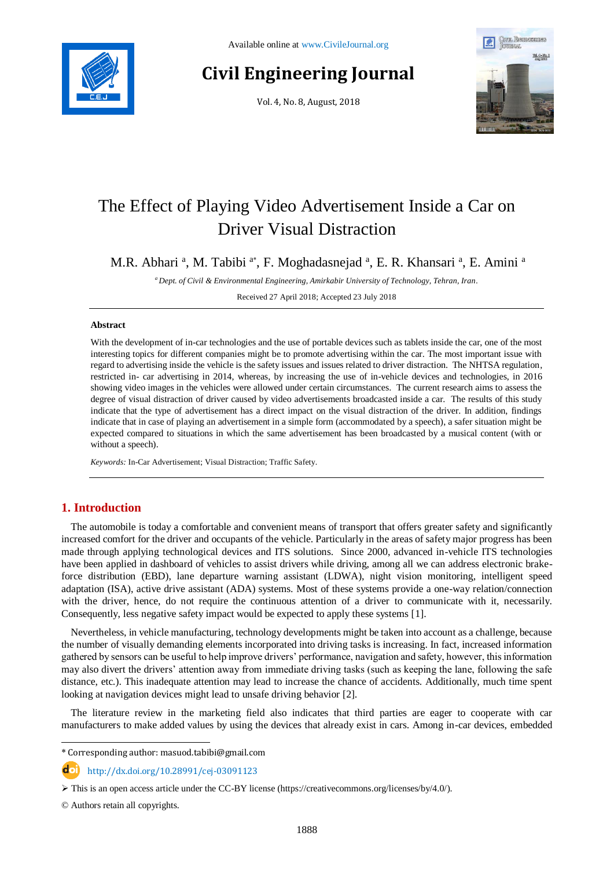

# **Civil Engineering Journal**

Vol. 4, No. 8, August, 2018



# The Effect of Playing Video Advertisement Inside a Car on Driver Visual Distraction

M.R. Abhari<sup>a</sup>, M. Tabibi<sup>a\*</sup>, F. Moghadasnejad<sup>a</sup>, E. R. Khansari<sup>a</sup>, E. Amini<sup>a</sup>

*<sup>a</sup> Dept. of Civil & Environmental Engineering, Amirkabir University of Technology, Tehran, Iran.*

Received 27 April 2018; Accepted 23 July 2018

#### **Abstract**

With the development of in-car technologies and the use of portable devices such as tablets inside the car, one of the most interesting topics for different companies might be to promote advertising within the car. The most important issue with regard to advertising inside the vehicle is the safety issues and issues related to driver distraction. The NHTSA regulation, restricted in- car advertising in 2014, whereas, by increasing the use of in-vehicle devices and technologies, in 2016 showing video images in the vehicles were allowed under certain circumstances. The current research aims to assess the degree of visual distraction of driver caused by video advertisements broadcasted inside a car. The results of this study indicate that the type of advertisement has a direct impact on the visual distraction of the driver. In addition, findings indicate that in case of playing an advertisement in a simple form (accommodated by a speech), a safer situation might be expected compared to situations in which the same advertisement has been broadcasted by a musical content (with or without a speech).

*Keywords:* In-Car Advertisement; Visual Distraction; Traffic Safety.

# **1. Introduction**

The automobile is today a comfortable and convenient means of transport that offers greater safety and significantly increased comfort for the driver and occupants of the vehicle. Particularly in the areas of safety major progress has been made through applying technological devices and ITS solutions. Since 2000, advanced in-vehicle ITS technologies have been applied in dashboard of vehicles to assist drivers while driving, among all we can address electronic brakeforce distribution (EBD), lane departure warning assistant (LDWA), night vision monitoring, intelligent speed adaptation (ISA), active drive assistant (ADA) systems. Most of these systems provide a one-way relation/connection with the driver, hence, do not require the continuous attention of a driver to communicate with it, necessarily. Consequently, less negative safety impact would be expected to apply these systems [1].

Nevertheless, in vehicle manufacturing, technology developments might be taken into account as a challenge, because the number of visually demanding elements incorporated into driving tasks is increasing. In fact, increased information gathered by sensors can be useful to help improve drivers' performance, navigation and safety, however, this information may also divert the drivers' attention away from immediate driving tasks (such as keeping the lane, following the safe distance, etc.). This inadequate attention may lead to increase the chance of accidents. Additionally, much time spent looking at navigation devices might lead to unsafe driving behavior [2].

The literature review in the marketing field also indicates that third parties are eager to cooperate with car manufacturers to make added values by using the devices that already exist in cars. Among in-car devices, embedded

http://dx.doi.org/10.28991/cej-03091123

© Authors retain all copyrights.

l

<sup>\*</sup> Corresponding author: masuod.tabibi@gmail.com

 $\triangleright$  This is an open access article under the CC-BY license [\(https://creativecommons.org/licenses/by/4.0/\)](https://creativecommons.org/licenses/by/4.0/).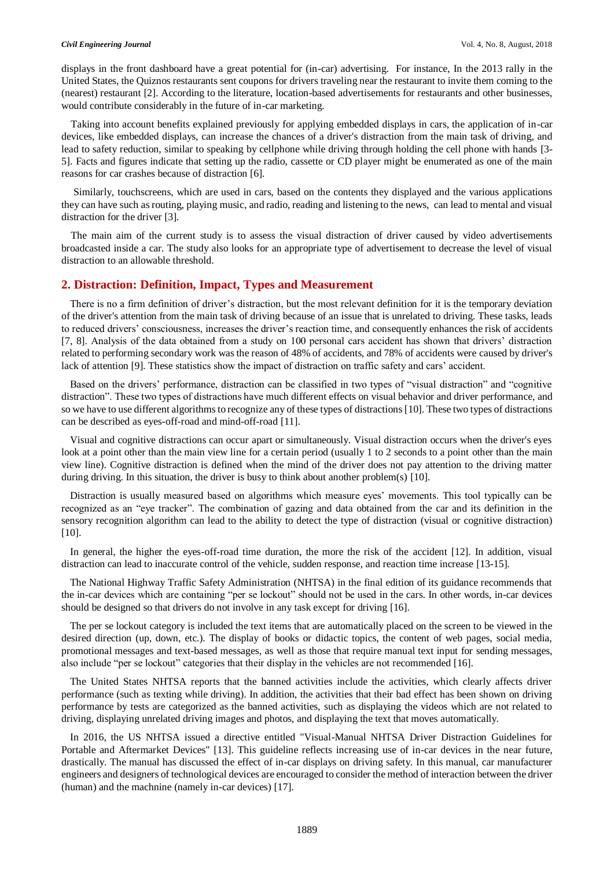displays in the front dashboard have a great potential for (in-car) advertising. For instance, In the 2013 rally in the United States, the Quiznos restaurants sent coupons for drivers traveling near the restaurant to invite them coming to the (nearest) restaurant [2]. According to the literature, location-based advertisements for restaurants and other businesses, would contribute considerably in the future of in-car marketing.

Taking into account benefits explained previously for applying embedded displays in cars, the application of in-car devices, like embedded displays, can increase the chances of a driver's distraction from the main task of driving, and lead to safety reduction, similar to speaking by cellphone while driving through holding the cell phone with hands [3- 5]. Facts and figures indicate that setting up the radio, cassette or CD player might be enumerated as one of the main reasons for car crashes because of distraction [6].

Similarly, touchscreens, which are used in cars, based on the contents they displayed and the various applications they can have such as routing, playing music, and radio, reading and listening to the news, can lead to mental and visual distraction for the driver [3].

The main aim of the current study is to assess the visual distraction of driver caused by video advertisements broadcasted inside a car. The study also looks for an appropriate type of advertisement to decrease the level of visual distraction to an allowable threshold.

### **2. Distraction: Definition, Impact, Types and Measurement**

There is no a firm definition of driver's distraction, but the most relevant definition for it is the temporary deviation of the driver's attention from the main task of driving because of an issue that is unrelated to driving. These tasks, leads to reduced drivers' consciousness, increases the driver's reaction time, and consequently enhances the risk of accidents [7, 8]. Analysis of the data obtained from a study on 100 personal cars accident has shown that drivers' distraction related to performing secondary work was the reason of 48% of accidents, and 78% of accidents were caused by driver's lack of attention [9]. These statistics show the impact of distraction on traffic safety and cars' accident.

Based on the drivers' performance, distraction can be classified in two types of "visual distraction" and "cognitive distraction". These two types of distractions have much different effects on visual behavior and driver performance, and so we have to use different algorithms to recognize any of these types of distractions [10]. These two types of distractions can be described as eyes-off-road and mind-off-road [11].

Visual and cognitive distractions can occur apart or simultaneously. Visual distraction occurs when the driver's eyes look at a point other than the main view line for a certain period (usually 1 to 2 seconds to a point other than the main view line). Cognitive distraction is defined when the mind of the driver does not pay attention to the driving matter during driving. In this situation, the driver is busy to think about another problem(s) [10].

Distraction is usually measured based on algorithms which measure eyes' movements. This tool typically can be recognized as an "eye tracker". The combination of gazing and data obtained from the car and its definition in the sensory recognition algorithm can lead to the ability to detect the type of distraction (visual or cognitive distraction) [10].

In general, the higher the eyes-off-road time duration, the more the risk of the accident [12]. In addition, visual distraction can lead to inaccurate control of the vehicle, sudden response, and reaction time increase [13-15].

The National Highway Traffic Safety Administration (NHTSA) in the final edition of its guidance recommends that the in-car devices which are containing "per se lockout" should not be used in the cars. In other words, in-car devices should be designed so that drivers do not involve in any task except for driving [16].

The per se lockout category is included the text items that are automatically placed on the screen to be viewed in the desired direction (up, down, etc.). The display of books or didactic topics, the content of web pages, social media, promotional messages and text-based messages, as well as those that require manual text input for sending messages, also include "per se lockout" categories that their display in the vehicles are not recommended [16].

The United States NHTSA reports that the banned activities include the activities, which clearly affects driver performance (such as texting while driving). In addition, the activities that their bad effect has been shown on driving performance by tests are categorized as the banned activities, such as displaying the videos which are not related to driving, displaying unrelated driving images and photos, and displaying the text that moves automatically.

In 2016, the US NHTSA issued a directive entitled "Visual-Manual NHTSA Driver Distraction Guidelines for Portable and Aftermarket Devices" [13]. This guideline reflects increasing use of in-car devices in the near future, drastically. The manual has discussed the effect of in-car displays on driving safety. In this manual, car manufacturer engineers and designers of technological devices are encouraged to consider the method of interaction between the driver (human) and the machnine (namely in-car devices) [17].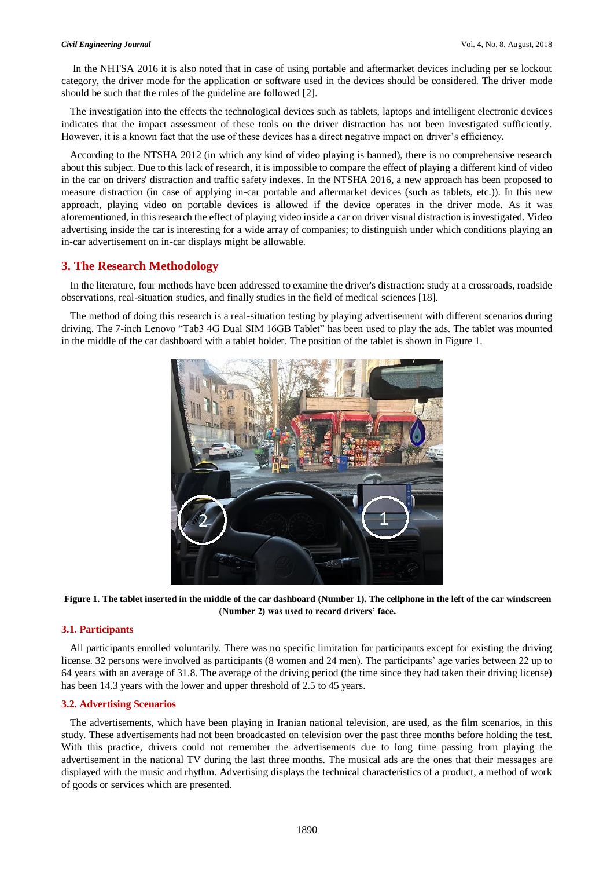In the NHTSA 2016 it is also noted that in case of using portable and aftermarket devices including per se lockout category, the driver mode for the application or software used in the devices should be considered. The driver mode should be such that the rules of the guideline are followed [2].

The investigation into the effects the technological devices such as tablets, laptops and intelligent electronic devices indicates that the impact assessment of these tools on the driver distraction has not been investigated sufficiently. However, it is a known fact that the use of these devices has a direct negative impact on driver's efficiency.

According to the NTSHA 2012 (in which any kind of video playing is banned), there is no comprehensive research about this subject. Due to this lack of research, it is impossible to compare the effect of playing a different kind of video in the car on drivers' distraction and traffic safety indexes. In the NTSHA 2016, a new approach has been proposed to measure distraction (in case of applying in-car portable and aftermarket devices (such as tablets, etc.)). In this new approach, playing video on portable devices is allowed if the device operates in the driver mode. As it was aforementioned, in this research the effect of playing video inside a car on driver visual distraction is investigated. Video advertising inside the car is interesting for a wide array of companies; to distinguish under which conditions playing an in-car advertisement on in-car displays might be allowable.

# **3. The Research Methodology**

In the literature, four methods have been addressed to examine the driver's distraction: study at a crossroads, roadside observations, real-situation studies, and finally studies in the field of medical sciences [18].

The method of doing this research is a real-situation testing by playing advertisement with different scenarios during driving. The 7-inch Lenovo "Tab3 4G Dual SIM 16GB Tablet" has been used to play the ads. The tablet was mounted in the middle of the car dashboard with a tablet holder. The position of the tablet is shown in Figure 1.



**Figure 1. The tablet inserted in the middle of the car dashboard (Number 1). The cellphone in the left of the car windscreen (Number 2) was used to record drivers' face.**

#### **3.1. Participants**

All participants enrolled voluntarily. There was no specific limitation for participants except for existing the driving license. 32 persons were involved as participants (8 women and 24 men). The participants' age varies between 22 up to 64 years with an average of 31.8. The average of the driving period (the time since they had taken their driving license) has been 14.3 years with the lower and upper threshold of 2.5 to 45 years.

#### **3.2. Advertising Scenarios**

The advertisements, which have been playing in Iranian national television, are used, as the film scenarios, in this study. These advertisements had not been broadcasted on television over the past three months before holding the test. With this practice, drivers could not remember the advertisements due to long time passing from playing the advertisement in the national TV during the last three months. The musical ads are the ones that their messages are displayed with the music and rhythm. Advertising displays the technical characteristics of a product, a method of work of goods or services which are presented.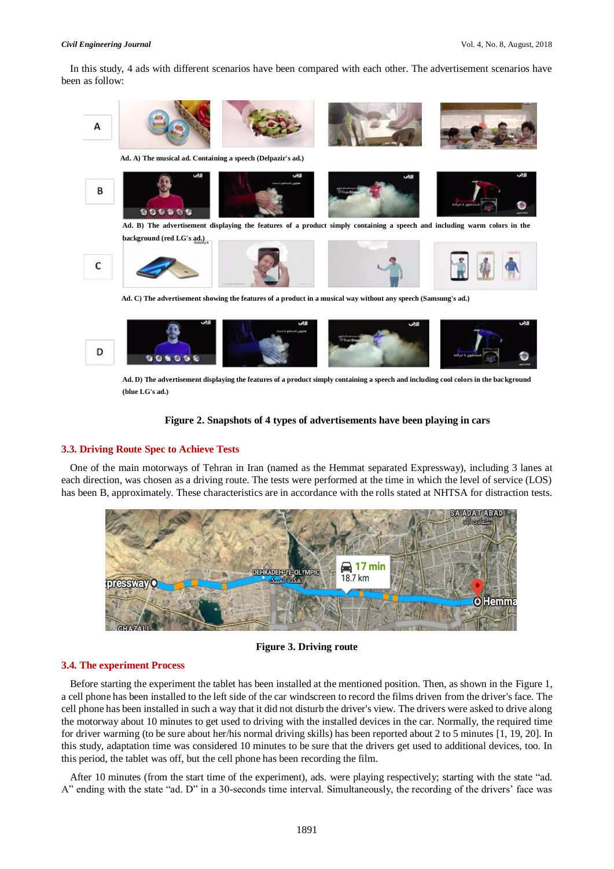In this study, 4 ads with different scenarios have been compared with each other. The advertisement scenarios have been as follow:



**Ad. D) The advertisement displaying the features of a product simply containing a speech and including cool colors in the background (blue LG's ad.)** 

### **Figure 2. Snapshots of 4 types of advertisements have been playing in cars**

# **3.3. Driving Route Spec to Achieve Tests**

One of the main motorways of Tehran in Iran (named as the Hemmat separated Expressway), including 3 lanes at each direction, was chosen as a driving route. The tests were performed at the time in which the level of service (LOS) has been B, approximately. These characteristics are in accordance with the rolls stated at NHTSA for distraction tests.



**Figure 3. Driving route**

### **3.4. The experiment Process**

Before starting the experiment the tablet has been installed at the mentioned position. Then, as shown in the Figure 1, a cell phone has been installed to the left side of the car windscreen to record the films driven from the driver's face. The cell phone has been installed in such a way that it did not disturb the driver's view. The drivers were asked to drive along the motorway about 10 minutes to get used to driving with the installed devices in the car. Normally, the required time for driver warming (to be sure about her/his normal driving skills) has been reported about 2 to 5 minutes [1, 19, 20]. In this study, adaptation time was considered 10 minutes to be sure that the drivers get used to additional devices, too. In this period, the tablet was off, but the cell phone has been recording the film.

After 10 minutes (from the start time of the experiment), ads. were playing respectively; starting with the state "ad. A" ending with the state "ad. D" in a 30-seconds time interval. Simultaneously, the recording of the drivers' face was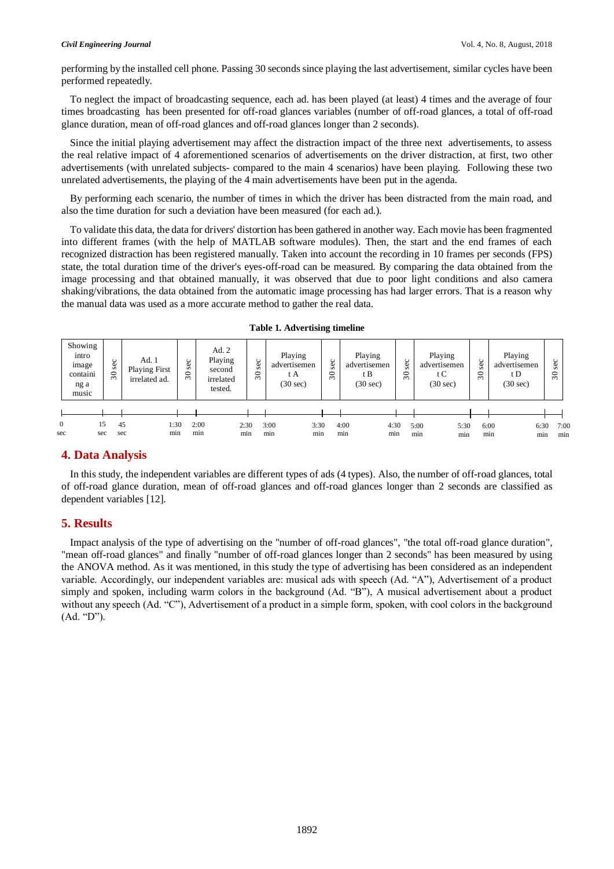performing by the installed cell phone. Passing 30 seconds since playing the last advertisement, similar cycles have been performed repeatedly.

To neglect the impact of broadcasting sequence, each ad. has been played (at least) 4 times and the average of four times broadcasting has been presented for off-road glances variables (number of off-road glances, a total of off-road glance duration, mean of off-road glances and off-road glances longer than 2 seconds).

Since the initial playing advertisement may affect the distraction impact of the three next advertisements, to assess the real relative impact of 4 aforementioned scenarios of advertisements on the driver distraction, at first, two other advertisements (with unrelated subjects- compared to the main 4 scenarios) have been playing. Following these two unrelated advertisements, the playing of the 4 main advertisements have been put in the agenda.

By performing each scenario, the number of times in which the driver has been distracted from the main road, and also the time duration for such a deviation have been measured (for each ad.).

To validate this data, the data for drivers' distortion has been gathered in another way. Each movie has been fragmented into different frames (with the help of MATLAB software modules). Then, the start and the end frames of each recognized distraction has been registered manually. Taken into account the recording in 10 frames per seconds (FPS) state, the total duration time of the driver's eyes-off-road can be measured. By comparing the data obtained from the image processing and that obtained manually, it was observed that due to poor light conditions and also camera shaking/vibrations, the data obtained from the automatic image processing has had larger errors. That is a reason why the manual data was used as a more accurate method to gather the real data.

|                     | Showing<br>intro<br>image<br>containi<br>ng a<br>music | sec<br>$\overline{\mathcal{E}}$ |           | Ad.1<br><b>Playing First</b><br>irrelated ad. | 3<br>Ō<br>$\mathfrak{S}$ |             | Ad. 2<br>Playing<br>second<br>irrelated<br>tested. | <b>Sec</b><br>$\boldsymbol{\mathcal{S}}$ |             | Playing<br>advertisemen<br>t A<br>$(30 \text{ sec})$ |             | sec<br>$\approx$ | Playing<br>advertisemen<br>t B<br>$(30 \text{ sec})$ |             | sec<br>$\approx$ | Playing<br>advertisemen<br>t C<br>$(30 \text{ sec})$ | <b>Sec</b><br>30 | Playing<br>advertisemen<br>t D<br>$(30 \text{ sec})$ | sec<br>$\mathcal{S}$ |             |
|---------------------|--------------------------------------------------------|---------------------------------|-----------|-----------------------------------------------|--------------------------|-------------|----------------------------------------------------|------------------------------------------|-------------|------------------------------------------------------|-------------|------------------|------------------------------------------------------|-------------|------------------|------------------------------------------------------|------------------|------------------------------------------------------|----------------------|-------------|
|                     |                                                        |                                 |           |                                               |                          |             |                                                    |                                          |             |                                                      |             |                  |                                                      |             |                  |                                                      |                  |                                                      |                      |             |
| $\mathbf{0}$<br>sec | 15<br>sec                                              |                                 | 45<br>sec | 1:30<br>min                                   |                          | 2:00<br>min | 2:30<br>min                                        |                                          | 3:00<br>min |                                                      | 3:30<br>min | 4:00<br>min      |                                                      | 4:30<br>min | 5:00<br>min      | 5:30<br>min                                          | 6:00<br>min      | 6:30<br>min                                          |                      | 7:00<br>min |

|  |  |  | <b>Table 1. Advertising timeline</b> |  |
|--|--|--|--------------------------------------|--|
|--|--|--|--------------------------------------|--|

#### **4. Data Analysis**

In this study, the independent variables are different types of ads (4 types). Also, the number of off-road glances, total of off-road glance duration, mean of off-road glances and off-road glances longer than 2 seconds are classified as dependent variables [12].

### **5. Results**

Impact analysis of the type of advertising on the "number of off-road glances", "the total off-road glance duration", "mean off-road glances" and finally "number of off-road glances longer than 2 seconds" has been measured by using the ANOVA method. As it was mentioned, in this study the type of advertising has been considered as an independent variable. Accordingly, our independent variables are: musical ads with speech (Ad. "A"), Advertisement of a product simply and spoken, including warm colors in the background (Ad. "B"), A musical advertisement about a product without any speech (Ad. "C"), Advertisement of a product in a simple form, spoken, with cool colors in the background (Ad. "D").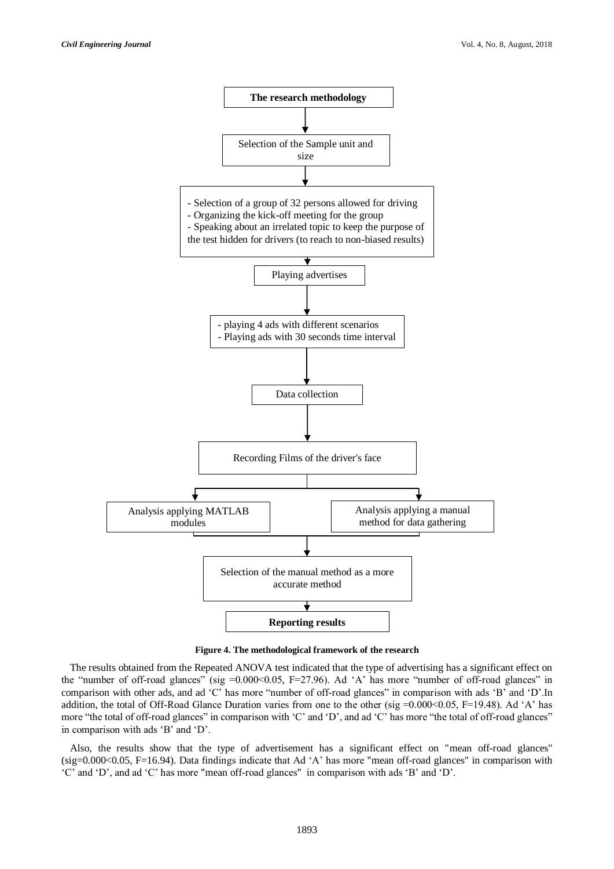

**Figure 4. The methodological framework of the research**

The results obtained from the Repeated ANOVA test indicated that the type of advertising has a significant effect on the "number of off-road glances" (sig =0.000<0.05, F=27.96). Ad 'A' has more "number of off-road glances" in comparison with other ads, and ad 'C' has more "number of off-road glances" in comparison with ads 'B' and 'D'.In addition, the total of Off-Road Glance Duration varies from one to the other (sig =0.000<0.05, F=19.48). Ad 'A' has more "the total of off-road glances" in comparison with 'C' and 'D', and ad 'C' has more "the total of off-road glances" in comparison with ads 'B' and 'D'.

Also, the results show that the type of advertisement has a significant effect on "mean off-road glances" (sig=0.000<0.05, F=16.94). Data findings indicate that Ad 'A' has more "mean off-road glances" in comparison with 'C' and 'D', and ad 'C' has more "mean off-road glances" in comparison with ads 'B' and 'D'.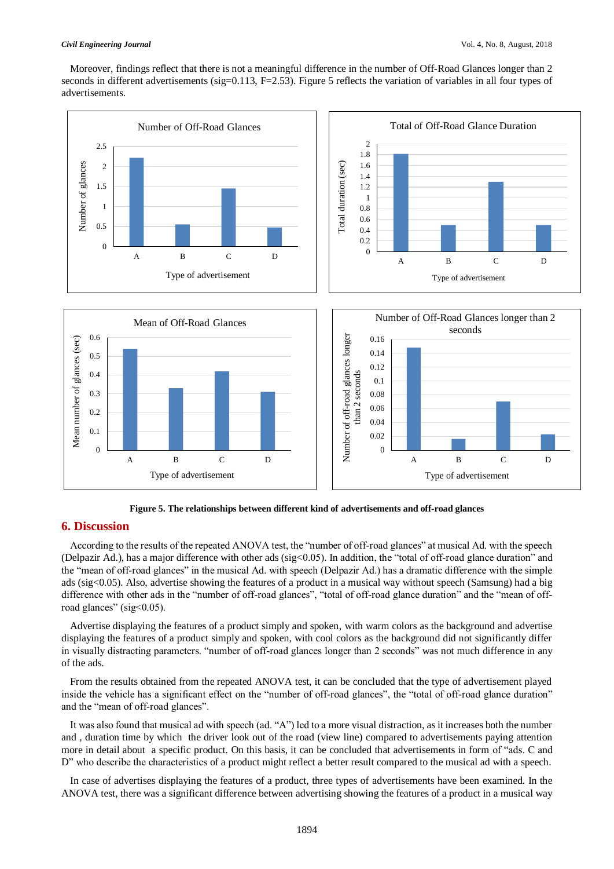Moreover, findings reflect that there is not a meaningful difference in the number of Off-Road Glances longer than 2 seconds in different advertisements (sig=0.113, F=2.53). Figure 5 reflects the variation of variables in all four types of advertisements.



**Figure 5. The relationships between different kind of advertisements and off-road glances**

# **6. Discussion**

According to the results of the repeated ANOVA test, the "number of off-road glances" at musical Ad. with the speech (Delpazir Ad.), has a major difference with other ads (sig<0.05). In addition, the "total of off-road glance duration" and the "mean of off-road glances" in the musical Ad. with speech (Delpazir Ad.) has a dramatic difference with the simple ads (sig<0.05). Also, advertise showing the features of a product in a musical way without speech (Samsung) had a big difference with other ads in the "number of off-road glances", "total of off-road glance duration" and the "mean of offroad glances" (sig<0.05).

Advertise displaying the features of a product simply and spoken, with warm colors as the background and advertise displaying the features of a product simply and spoken, with cool colors as the background did not significantly differ in visually distracting parameters. "number of off-road glances longer than 2 seconds" was not much difference in any of the ads.

From the results obtained from the repeated ANOVA test, it can be concluded that the type of advertisement played inside the vehicle has a significant effect on the "number of off-road glances", the "total of off-road glance duration" and the "mean of off-road glances".

It was also found that musical ad with speech (ad. "A") led to a more visual distraction, as it increases both the number and , duration time by which the driver look out of the road (view line) compared to advertisements paying attention more in detail about a specific product. On this basis, it can be concluded that advertisements in form of "ads. C and D" who describe the characteristics of a product might reflect a better result compared to the musical ad with a speech.

In case of advertises displaying the features of a product, three types of advertisements have been examined. In the ANOVA test, there was a significant difference between advertising showing the features of a product in a musical way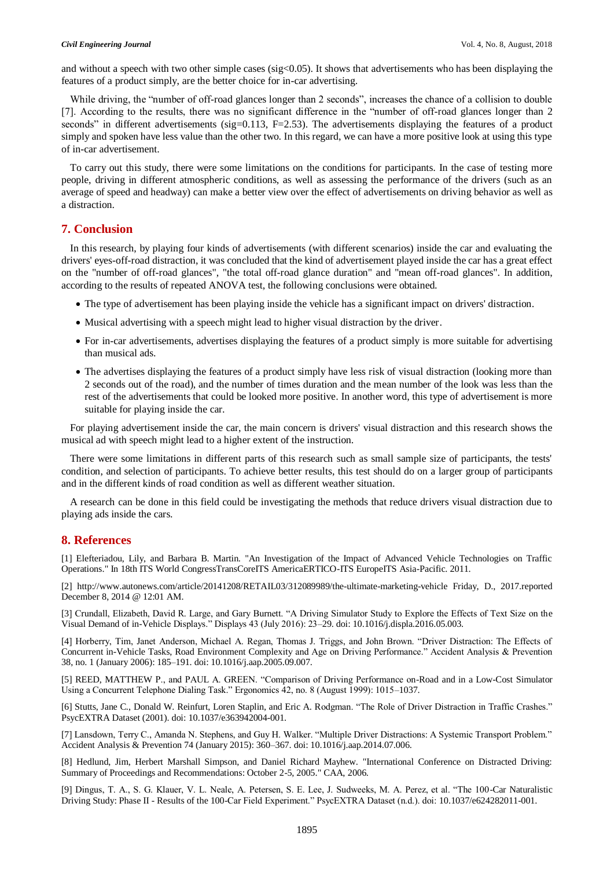and without a speech with two other simple cases ( $sig<0.05$ ). It shows that advertisements who has been displaying the features of a product simply, are the better choice for in-car advertising.

While driving, the "number of off-road glances longer than 2 seconds", increases the chance of a collision to double [7]. According to the results, there was no significant difference in the "number of off-road glances longer than 2 seconds" in different advertisements (sig=0.113,  $F=2.53$ ). The advertisements displaying the features of a product simply and spoken have less value than the other two. In this regard, we can have a more positive look at using this type of in-car advertisement.

To carry out this study, there were some limitations on the conditions for participants. In the case of testing more people, driving in different atmospheric conditions, as well as assessing the performance of the drivers (such as an average of speed and headway) can make a better view over the effect of advertisements on driving behavior as well as a distraction.

### **7. Conclusion**

In this research, by playing four kinds of advertisements (with different scenarios) inside the car and evaluating the drivers' eyes-off-road distraction, it was concluded that the kind of advertisement played inside the car has a great effect on the "number of off-road glances", "the total off-road glance duration" and "mean off-road glances". In addition, according to the results of repeated ANOVA test, the following conclusions were obtained.

- The type of advertisement has been playing inside the vehicle has a significant impact on drivers' distraction.
- Musical advertising with a speech might lead to higher visual distraction by the driver.
- For in-car advertisements, advertises displaying the features of a product simply is more suitable for advertising than musical ads.
- The advertises displaying the features of a product simply have less risk of visual distraction (looking more than 2 seconds out of the road), and the number of times duration and the mean number of the look was less than the rest of the advertisements that could be looked more positive. In another word, this type of advertisement is more suitable for playing inside the car.

For playing advertisement inside the car, the main concern is drivers' visual distraction and this research shows the musical ad with speech might lead to a higher extent of the instruction.

There were some limitations in different parts of this research such as small sample size of participants, the tests' condition, and selection of participants. To achieve better results, this test should do on a larger group of participants and in the different kinds of road condition as well as different weather situation.

A research can be done in this field could be investigating the methods that reduce drivers visual distraction due to playing ads inside the cars.

## **8. References**

[1] Elefteriadou, Lily, and Barbara B. Martin. "An Investigation of the Impact of Advanced Vehicle Technologies on Traffic Operations." In 18th ITS World CongressTransCoreITS AmericaERTICO-ITS EuropeITS Asia-Pacific. 2011.

[2] http://www.autonews.com/article/20141208/RETAIL03/312089989/the-ultimate-marketing-vehicle Friday, D., 2017.reported December 8, 2014 @ 12:01 AM.

[3] Crundall, Elizabeth, David R. Large, and Gary Burnett. "A Driving Simulator Study to Explore the Effects of Text Size on the Visual Demand of in-Vehicle Displays." Displays 43 (July 2016): 23–29. doi: 10.1016/j.displa.2016.05.003.

[4] Horberry, Tim, Janet Anderson, Michael A. Regan, Thomas J. Triggs, and John Brown. "Driver Distraction: The Effects of Concurrent in-Vehicle Tasks, Road Environment Complexity and Age on Driving Performance." Accident Analysis & Prevention 38, no. 1 (January 2006): 185–191. doi: 10.1016/j.aap.2005.09.007.

[5] REED, MATTHEW P., and PAUL A. GREEN. "Comparison of Driving Performance on-Road and in a Low-Cost Simulator Using a Concurrent Telephone Dialing Task." Ergonomics 42, no. 8 (August 1999): 1015–1037.

[6] Stutts, Jane C., Donald W. Reinfurt, Loren Staplin, and Eric A. Rodgman. "The Role of Driver Distraction in Traffic Crashes." PsycEXTRA Dataset (2001). doi: 10.1037/e363942004-001.

[7] Lansdown, Terry C., Amanda N. Stephens, and Guy H. Walker. "Multiple Driver Distractions: A Systemic Transport Problem." Accident Analysis & Prevention 74 (January 2015): 360–367. doi: 10.1016/j.aap.2014.07.006.

[8] Hedlund, Jim, Herbert Marshall Simpson, and Daniel Richard Mayhew. "International Conference on Distracted Driving: Summary of Proceedings and Recommendations: October 2-5, 2005." CAA, 2006.

[9] Dingus, T. A., S. G. Klauer, V. L. Neale, A. Petersen, S. E. Lee, J. Sudweeks, M. A. Perez, et al. "The 100-Car Naturalistic Driving Study: Phase II - Results of the 100-Car Field Experiment." PsycEXTRA Dataset (n.d.). doi: 10.1037/e624282011-001.